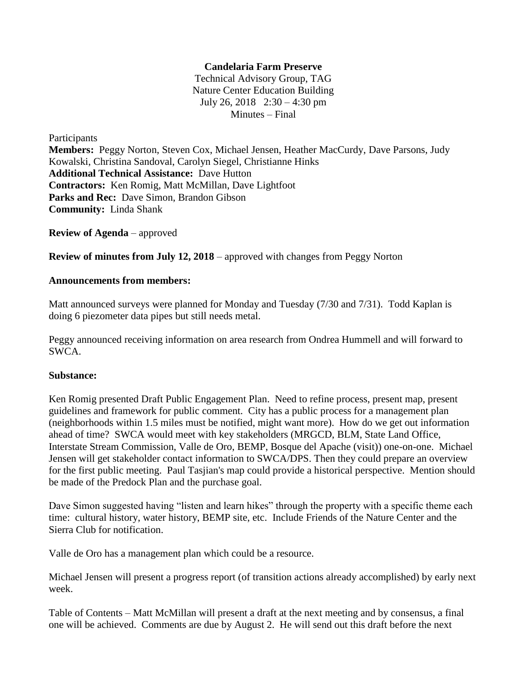## **Candelaria Farm Preserve**

Technical Advisory Group, TAG Nature Center Education Building July 26, 2018 2:30 – 4:30 pm Minutes – Final

Participants **Members:** Peggy Norton, Steven Cox, Michael Jensen, Heather MacCurdy, Dave Parsons, Judy Kowalski, Christina Sandoval, Carolyn Siegel, Christianne Hinks **Additional Technical Assistance:** Dave Hutton **Contractors:** Ken Romig, Matt McMillan, Dave Lightfoot Parks and Rec: Dave Simon, Brandon Gibson **Community:** Linda Shank

**Review of Agenda** – approved

**Review of minutes from July 12, 2018** – approved with changes from Peggy Norton

## **Announcements from members:**

Matt announced surveys were planned for Monday and Tuesday (7/30 and 7/31). Todd Kaplan is doing 6 piezometer data pipes but still needs metal.

Peggy announced receiving information on area research from Ondrea Hummell and will forward to SWCA.

## **Substance:**

Ken Romig presented Draft Public Engagement Plan. Need to refine process, present map, present guidelines and framework for public comment. City has a public process for a management plan (neighborhoods within 1.5 miles must be notified, might want more). How do we get out information ahead of time? SWCA would meet with key stakeholders (MRGCD, BLM, State Land Office, Interstate Stream Commission, Valle de Oro, BEMP, Bosque del Apache (visit)) one-on-one. Michael Jensen will get stakeholder contact information to SWCA/DPS. Then they could prepare an overview for the first public meeting. Paul Tasjian's map could provide a historical perspective. Mention should be made of the Predock Plan and the purchase goal.

Dave Simon suggested having "listen and learn hikes" through the property with a specific theme each time: cultural history, water history, BEMP site, etc. Include Friends of the Nature Center and the Sierra Club for notification.

Valle de Oro has a management plan which could be a resource.

Michael Jensen will present a progress report (of transition actions already accomplished) by early next week.

Table of Contents – Matt McMillan will present a draft at the next meeting and by consensus, a final one will be achieved. Comments are due by August 2. He will send out this draft before the next